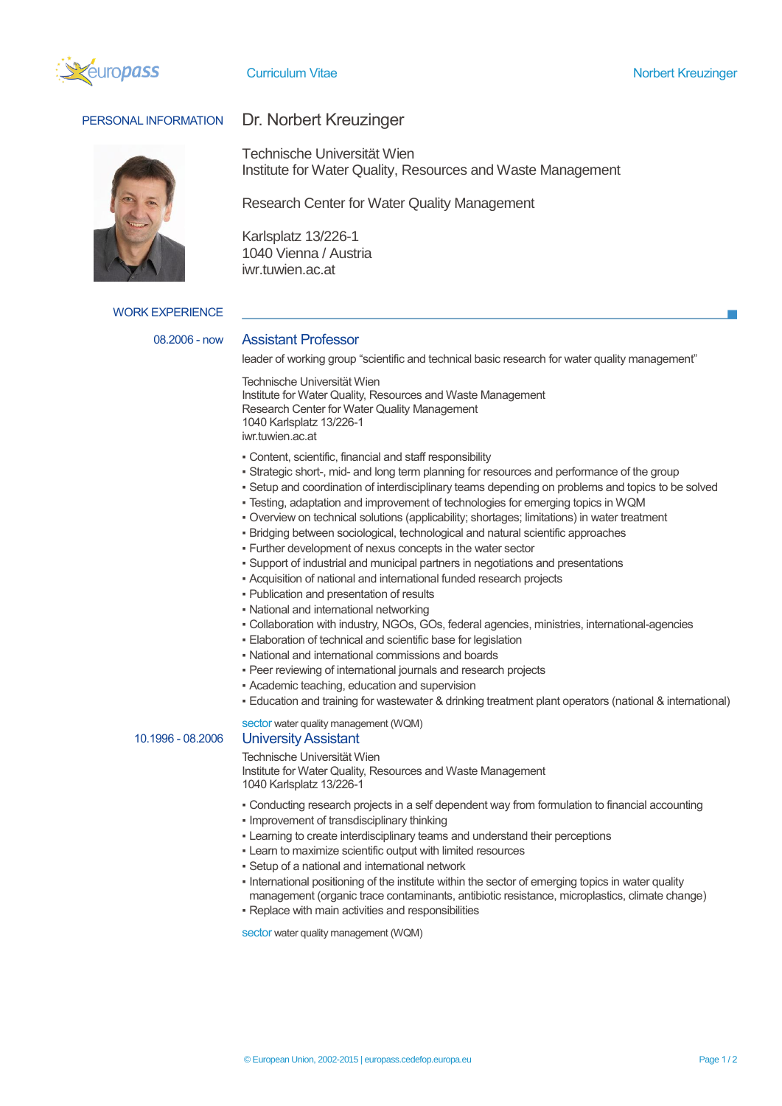



# PERSONAL INFORMATION Dr. Norbert Kreuzinger

Technische Universität Wien Institute for Water Quality, Resources and Waste Management

Research Center for Water Quality Management

Karlsplatz 13/226-1 1040 Vienna / Austria iwr.tuwien.ac.at

WORK EXPERIENCE

### 08.2006 - now Assistant Professor

leader of working group "scientific and technical basic research for water quality management"

Technische Universität Wien Institute for Water Quality, Resources and Waste Management Research Center for Water Quality Management 1040 Karlsplatz 13/226-1 iwr.tuwien.ac.at

- Content, scientific, financial and staff responsibility
- Strategic short-, mid- and long term planning for resources and performance of the group
- Setup and coordination of interdisciplinary teams depending on problems and topics to be solved
- Testing, adaptation and improvement of technologies for emerging topics in WQM
- Overview on technical solutions (applicability; shortages; limitations) in water treatment
- Bridging between sociological, technological and natural scientific approaches
- Further development of nexus concepts in the water sector
- Support of industrial and municipal partners in negotiations and presentations
- Acquisition of national and international funded research projects
- Publication and presentation of results
- National and international networking
- Collaboration with industry, NGOs, GOs, federal agencies, ministries, international-agencies
- **Elaboration of technical and scientific base for legislation**
- National and international commissions and boards
- Peer reviewing of international journals and research projects
- Academic teaching, education and supervision
- Education and training for wastewater & drinking treatment plant operators (national & international)

sector water quality management (WQM)

## 10.1996 - 08.2006 University Assistant

Technische Universität Wien Institute for Water Quality, Resources and Waste Management 1040 Karlsplatz 13/226-1

- Conducting research projects in a self dependent way from formulation to financial accounting
- Improvement of transdisciplinary thinking
- **.** Learning to create interdisciplinary teams and understand their perceptions
- Learn to maximize scientific output with limited resources
- Setup of a national and international network
- . International positioning of the institute within the sector of emerging topics in water quality management (organic trace contaminants, antibiotic resistance, microplastics, climate change)
- Replace with main activities and responsibilities

sector water quality management (WQM)